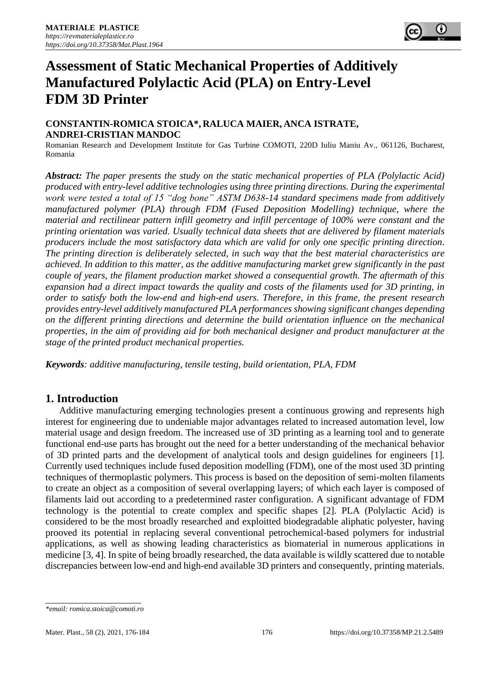# **Assessment of Static Mechanical Properties of Additively Manufactured Polylactic Acid (PLA) on Entry-Level FDM 3D Printer**

#### **CONSTANTIN-ROMICA STOICA\*, RALUCA MAIER, ANCA ISTRATE, ANDREI-CRISTIAN MANDOC**

Romanian Research and Development Institute for Gas Turbine COMOTI, 220D Iuliu Maniu Av., 061126, Bucharest, Romania

*Abstract: The paper presents the study on the static mechanical properties of PLA (Polylactic Acid) produced with entry-level additive technologies using three printing directions. During the experimental work were tested a total of 15 "dog bone" ASTM D638-14 standard specimens made from additively manufactured polymer (PLA) through FDM (Fused Deposition Modelling) technique, where the material and rectilinear pattern infill geometry and infill percentage of 100% were constant and the printing orientation was varied. Usually technical data sheets that are delivered by filament materials producers include the most satisfactory data which are valid for only one specific printing direction. The printing direction is deliberately selected, in such way that the best material characteristics are achieved. In addition to this matter, as the additive manufacturing market grew significantly in the past couple of years, the filament production market showed a consequential growth. The aftermath of this expansion had a direct impact towards the quality and costs of the filaments used for 3D printing, in order to satisfy both the low-end and high-end users. Therefore, in this frame, the present research provides entry-level additively manufactured PLA performances showing significant changes depending on the different printing directions and determine the build orientation influence on the mechanical properties, in the aim of providing aid for both mechanical designer and product manufacturer at the stage of the printed product mechanical properties.*

*Keywords: additive manufacturing, tensile testing, build orientation, PLA, FDM*

# **1. Introduction**

Additive manufacturing emerging technologies present a continuous growing and represents high interest for engineering due to undeniable major advantages related to increased automation level, low material usage and design freedom. The increased use of 3D printing as a learning tool and to generate functional end-use parts has brought out the need for a better understanding of the mechanical behavior of 3D printed parts and the development of analytical tools and design guidelines for engineers [1]. Currently used techniques include fused deposition modelling (FDM), one of the most used 3D printing techniques of thermoplastic polymers. This process is based on the deposition of semi-molten filaments to create an object as a composition of several overlapping layers; of which each layer is composed of filaments laid out according to a predetermined raster configuration. A significant advantage of FDM technology is the potential to create complex and specific shapes [2]. PLA (Polylactic Acid) is considered to be the most broadly researched and exploitted biodegradable aliphatic polyester, having prooved its potential in replacing several conventional petrochemical-based polymers for industrial applications, as well as showing leading characteristics as biomaterial in numerous applications in medicine [3, 4]. In spite of being broadly researched, the data available is wildly scattered due to notable discrepancies between low-end and high-end available 3D printers and consequently, printing materials.

*<sup>\*</sup>email: romica.stoica@comoti.ro*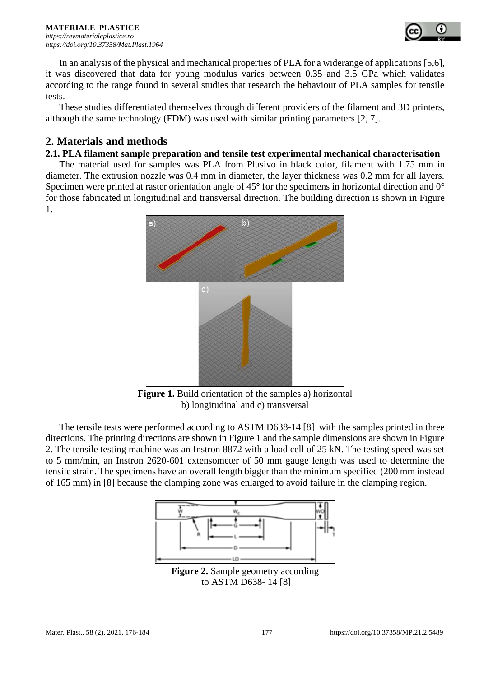

In an analysis of the physical and mechanical properties of PLA for a widerange of applications [5,6], it was discovered that data for young modulus varies between 0.35 and 3.5 GPa which validates according to the range found in several studies that research the behaviour of PLA samples for tensile tests.

These studies differentiated themselves through different providers of the filament and 3D printers, although the same technology (FDM) was used with similar printing parameters [2, 7].

# **2. Materials and methods**

#### **2.1. PLA filament sample preparation and tensile test experimental mechanical characterisation**

The material used for samples was PLA from Plusivo in black color, filament with 1.75 mm in diameter. The extrusion nozzle was 0.4 mm in diameter, the layer thickness was 0.2 mm for all layers. Specimen were printed at raster orientation angle of 45° for the specimens in horizontal direction and 0° for those fabricated in longitudinal and transversal direction. The building direction is shown in Figure 1.



**Figure 1.** Build orientation of the samples a) horizontal b) longitudinal and c) transversal

The tensile tests were performed according to ASTM D638-14 [8] with the samples printed in three directions. The printing directions are shown in Figure 1 and the sample dimensions are shown in [Figure](#page-1-0)  [2.](#page-1-0) The tensile testing machine was an Instron 8872 with a load cell of 25 kN. The testing speed was set to 5 mm/min, an Instron 2620-601 extensometer of 50 mm gauge length was used to determine the tensile strain. The specimens have an overall length bigger than the minimum specified (200 mm instead of 165 mm) in [8] because the clamping zone was enlarged to avoid failure in the clamping region.



<span id="page-1-0"></span>**Figure 2.** Sample geometry according to ASTM D638- 14 [8]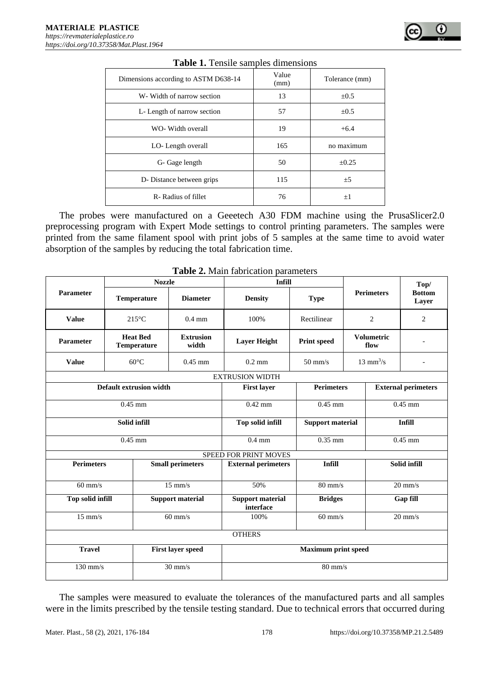| <b>Table 1.</b> Tensile samples dimensions |               |                |  |  |  |  |
|--------------------------------------------|---------------|----------------|--|--|--|--|
| Dimensions according to ASTM D638-14       | Value<br>(mm) | Tolerance (mm) |  |  |  |  |
| W- Width of narrow section                 | 13            | $\pm 0.5$      |  |  |  |  |
| L- Length of narrow section                | 57            | $\pm 0.5$      |  |  |  |  |
| WO- Width overall                          | 19            | $+6.4$         |  |  |  |  |
| LO-Length overall                          | 165           | no maximum     |  |  |  |  |
| G- Gage length                             | 50            | $\pm 0.25$     |  |  |  |  |
| D- Distance between grips                  | 115           | ±5             |  |  |  |  |
| R-Radius of fillet                         | 76            | $+1$           |  |  |  |  |

#### **Table 1.** Tensile samples dimensions

The probes were manufactured on a Geeetech A30 FDM machine using the PrusaSlicer2.0 preprocessing program with Expert Mode settings to control printing parameters. The samples were printed from the same filament spool with print jobs of 5 samples at the same time to avoid water absorption of the samples by reducing the total fabrication time.

|                   |                                         | <b>Nozzle</b>                         |                           | <b>Infill</b>                        |                    |                            | Top/              |                            |  |
|-------------------|-----------------------------------------|---------------------------------------|---------------------------|--------------------------------------|--------------------|----------------------------|-------------------|----------------------------|--|
| <b>Parameter</b>  |                                         | <b>Temperature</b>                    | <b>Diameter</b>           | <b>Density</b>                       | <b>Type</b>        |                            | <b>Perimeters</b> | <b>Bottom</b><br>Layer     |  |
| <b>Value</b>      |                                         | $215^{\circ}$ C                       | $0.4$ mm                  | 100%                                 | Rectilinear        | $\overline{c}$             |                   | 2                          |  |
| <b>Parameter</b>  |                                         | <b>Heat Bed</b><br><b>Temperature</b> | <b>Extrusion</b><br>width | <b>Layer Height</b>                  | <b>Print speed</b> | <b>Volumetric</b><br>flow  |                   |                            |  |
| <b>Value</b>      |                                         | $60^{\circ}$ C                        | $0.45$ mm                 | $0.2 \text{ mm}$                     | $50 \text{ mm/s}$  | $13 \text{ mm}^3/\text{s}$ |                   |                            |  |
|                   |                                         |                                       |                           | <b>EXTRUSION WIDTH</b>               |                    |                            |                   |                            |  |
|                   |                                         | <b>Default extrusion width</b>        |                           | <b>First layer</b>                   | <b>Perimeters</b>  |                            |                   | <b>External perimeters</b> |  |
|                   | $0.45$ mm                               |                                       |                           | $0.42$ mm                            | $0.45$ mm          |                            | $0.45$ mm         |                            |  |
|                   | Solid infill<br><b>Top solid infill</b> |                                       | <b>Support material</b>   | <b>Infill</b>                        |                    |                            |                   |                            |  |
|                   | $0.45$ mm                               |                                       | $0.4 \text{ mm}$          | $0.35$ mm                            |                    |                            | $0.45$ mm         |                            |  |
|                   |                                         |                                       |                           | <b>SPEED FOR PRINT MOVES</b>         |                    |                            |                   |                            |  |
| <b>Perimeters</b> |                                         |                                       | <b>Small perimeters</b>   | <b>External perimeters</b>           | <b>Infill</b>      |                            | Solid infill      |                            |  |
| $60$ mm/s         |                                         |                                       | $15 \text{ mm/s}$         | 50%                                  | $80 \text{ mm/s}$  |                            | $20 \text{ mm/s}$ |                            |  |
| Top solid infill  |                                         |                                       | <b>Support material</b>   | <b>Support material</b><br>interface | <b>Bridges</b>     |                            | Gap fill          |                            |  |
| $15$ mm/s         |                                         |                                       | $60$ mm/s                 | 100%                                 | $60$ mm/s          |                            | $20$ mm/s         |                            |  |
|                   |                                         |                                       |                           | <b>OTHERS</b>                        |                    |                            |                   |                            |  |
| <b>Travel</b>     |                                         |                                       | <b>First layer speed</b>  | <b>Maximum print speed</b>           |                    |                            |                   |                            |  |
| $130$ mm/s        |                                         |                                       | $30 \text{ mm/s}$         | $80$ mm/s                            |                    |                            |                   |                            |  |

**Table 2.** Main fabrication parameters

The samples were measured to evaluate the tolerances of the manufactured parts and all samples were in the limits prescribed by the tensile testing standard. Due to technical errors that occurred during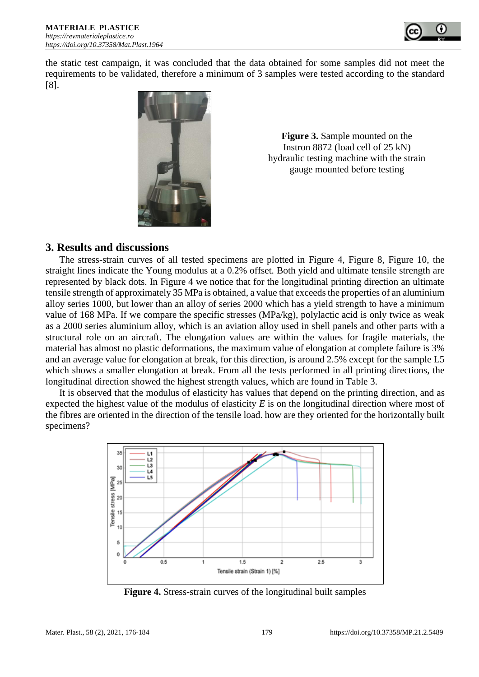

the static test campaign, it was concluded that the data obtained for some samples did not meet the requirements to be validated, therefore a minimum of 3 samples were tested according to the standard [8].



**Figure 3.** Sample mounted on the Instron 8872 (load cell of 25 kN) hydraulic testing machine with the strain gauge mounted before testing

## **3. Results and discussions**

The stress-strain curves of all tested specimens are plotted in [Figure 4,](#page-3-0) [Figure](#page-5-0) 8, [Figure](#page-6-0) 10, the straight lines indicate the Young modulus at a 0.2% offset. Both yield and ultimate tensile strength are represented by black dots. In [Figure 4](#page-3-0) we notice that for the longitudinal printing direction an ultimate tensile strength of approximately 35 MPa is obtained, a value that exceeds the properties of an aluminium alloy series 1000, but lower than an alloy of series 2000 which has a yield strength to have a minimum value of 168 MPa. If we compare the specific stresses (MPa/kg), polylactic acid is only twice as weak as a 2000 series aluminium alloy, which is an aviation alloy used in shell panels and other parts with a structural role on an aircraft. The elongation values are within the values for fragile materials, the material has almost no plastic deformations, the maximum value of elongation at complete failure is 3% and an average value for elongation at break, for this direction, is around 2.5% except for the sample L5 which shows a smaller elongation at break. From all the tests performed in all printing directions, the longitudinal direction showed the highest strength values, which are found in Table 3.

It is observed that the modulus of elasticity has values that depend on the printing direction, and as expected the highest value of the modulus of elasticity *E* is on the longitudinal direction where most of the fibres are oriented in the direction of the tensile load. how are they oriented for the horizontally built specimens?



<span id="page-3-0"></span>**Figure 4.** Stress-strain curves of the longitudinal built samples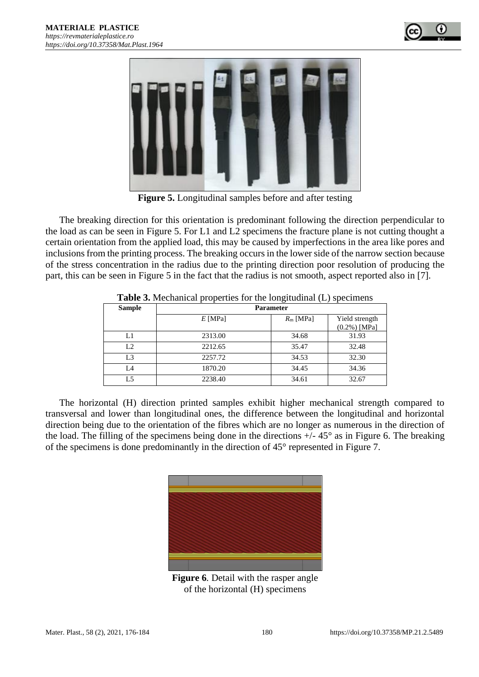



**Figure 5.** Longitudinal samples before and after testing

<span id="page-4-0"></span>The breaking direction for this orientation is predominant following the direction perpendicular to the load as can be seen in [Figure 5.](#page-4-0) For L1 and L2 specimens the fracture plane is not cutting thought a certain orientation from the applied load, this may be caused by imperfections in the area like pores and inclusions from the printing process. The breaking occurs in the lower side of the narrow section because of the stress concentration in the radius due to the printing direction poor resolution of producing the part, this can be seen in [Figure 5](#page-4-0) in the fact that the radius is not smooth, aspect reported also in [7].

| <b>Sample</b>  | <b>Parameter</b> |            |                 |  |  |
|----------------|------------------|------------|-----------------|--|--|
|                | $E$ [MPa]        | $Rm$ [MPa] | Yield strength  |  |  |
|                |                  |            | $(0.2\%)$ [MPa] |  |  |
| L1             | 2313.00          | 34.68      | 31.93           |  |  |
| L <sub>2</sub> | 2212.65          | 35.47      | 32.48           |  |  |
| L <sub>3</sub> | 2257.72          | 34.53      | 32.30           |  |  |
| L4             | 1870.20          | 34.45      | 34.36           |  |  |
| L <sub>5</sub> | 2238.40          | 34.61      | 32.67           |  |  |

**Table 3.** Mechanical properties for the longitudinal (L) specimens

The horizontal (H) direction printed samples exhibit higher mechanical strength compared to transversal and lower than longitudinal ones, the difference between the longitudinal and horizontal direction being due to the orientation of the fibres which are no longer as numerous in the direction of the load. The filling of the specimens being done in the directions  $+/- 45^{\circ}$  as in [Figure 6.](#page-4-1) The breaking of the specimens is done predominantly in the direction of 45° represented in [Figure 7.](#page-5-1)

<span id="page-4-1"></span>

**Figure 6***.* Detail with the rasper angle of the horizontal (H) specimens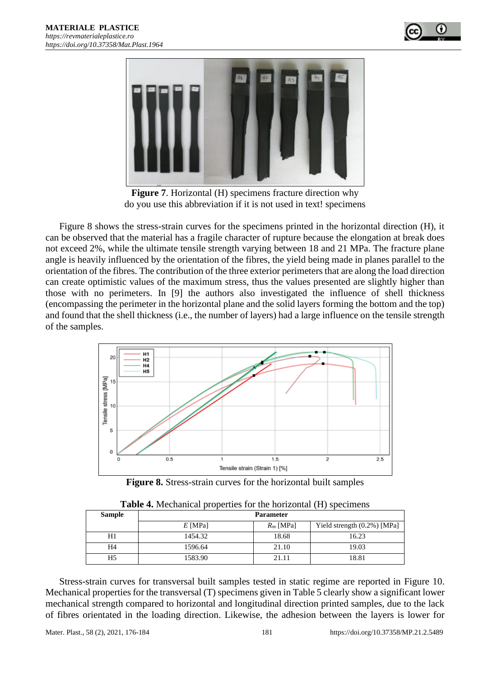



**Figure 7**. Horizontal (H) specimens fracture direction why do you use this abbreviation if it is not used in text! specimens

<span id="page-5-1"></span>[Figure 8](#page-5-0) shows the stress-strain curves for the specimens printed in the horizontal direction (H), it can be observed that the material has a fragile character of rupture because the elongation at break does not exceed 2%, while the ultimate tensile strength varying between 18 and 21 MPa. The fracture plane angle is heavily influenced by the orientation of the fibres, the yield being made in planes parallel to the orientation of the fibres. The contribution of the three exterior perimeters that are along the load direction can create optimistic values of the maximum stress, thus the values presented are slightly higher than those with no perimeters. In [9] the authors also investigated the influence of shell thickness (encompassing the perimeter in the horizontal plane and the solid layers forming the bottom and the top) and found that the shell thickness (i.e., the number of layers) had a large influence on the tensile strength of the samples.



**Figure 8.** Stress-strain curves for the horizontal built samples

<span id="page-5-0"></span>

| <b>Sample</b> | <b>Parameter</b> |            |                                |  |  |
|---------------|------------------|------------|--------------------------------|--|--|
|               | $E$ [MPa]        | $Rm$ [MPa] | Yield strength $(0.2\%)$ [MPa] |  |  |
| H1            | 1454.32          | 18.68      | 16.23                          |  |  |
| H4            | 1596.64          | 21.10      | 19.03                          |  |  |
| H5            | 1583.90          | 21.11      | 18.81                          |  |  |

| <b>Table 4.</b> Mechanical properties for the horizontal (H) specimens |  |
|------------------------------------------------------------------------|--|
|------------------------------------------------------------------------|--|

Stress-strain curves for transversal built samples tested in static regime are reported in [Figure 10.](#page-6-0) Mechanical properties for the transversal (T) specimens given in [Table 5](#page-6-1) clearly show a significant lower mechanical strength compared to horizontal and longitudinal direction printed samples, due to the lack of fibres orientated in the loading direction. Likewise, the adhesion between the layers is lower for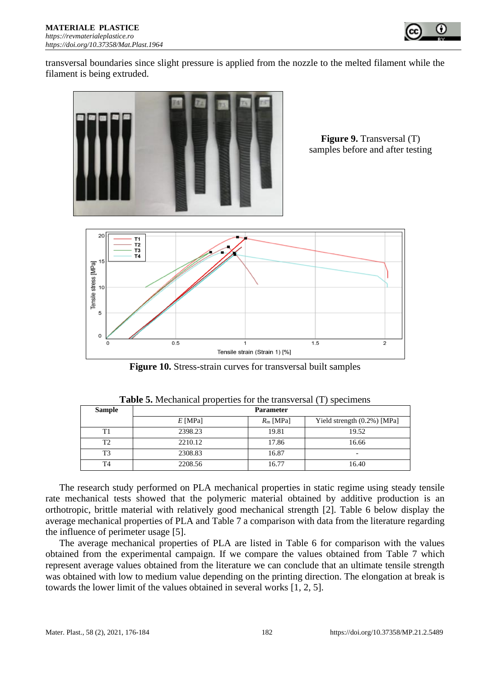

transversal boundaries since slight pressure is applied from the nozzle to the melted filament while the filament is being extruded.



**Figure 9.** Transversal (T) samples before and after testing



**Figure 10.** Stress-strain curves for transversal built samples

<span id="page-6-1"></span><span id="page-6-0"></span>

| <b>Sample</b>  | <b>Parameter</b> |            |                             |  |  |
|----------------|------------------|------------|-----------------------------|--|--|
|                | $E$ [MPa]        | $Rm$ [MPa] | Yield strength (0.2%) [MPa] |  |  |
| T1             | 2398.23          | 19.81      | 19.52                       |  |  |
| T <sub>2</sub> | 2210.12          | 17.86      | 16.66                       |  |  |
| T3             | 2308.83          | 16.87      | -                           |  |  |
| T4             | 2208.56          | 16.77      | 16.40                       |  |  |

**Table 5.** Mechanical properties for the transversal (T) specimens

The research study performed on PLA mechanical properties in static regime using steady tensile rate mechanical tests showed that the polymeric material obtained by additive production is an orthotropic, brittle material with relatively good mechanical strength [2]. [Table 6](#page-7-0) below display the average mechanical properties of PLA and [Table 7](#page-7-1) a comparison with data from the literature regarding the influence of perimeter usage [5].

The average mechanical properties of PLA are listed in [Table 6](#page-7-0) for comparison with the values obtained from the experimental campaign. If we compare the values obtained from [Table 7](#page-7-1) which represent average values obtained from the literature we can conclude that an ultimate tensile strength was obtained with low to medium value depending on the printing direction. The elongation at break is towards the lower limit of the values obtained in several works [1, 2, 5].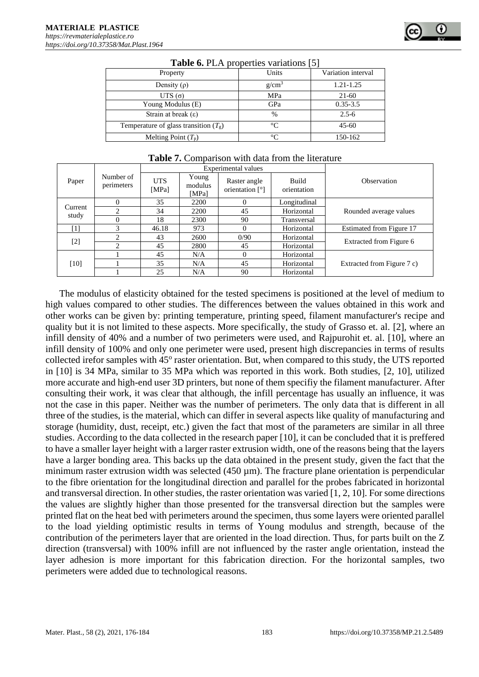<span id="page-7-0"></span>

| Property                                | Units    | Variation interval |
|-----------------------------------------|----------|--------------------|
| Density $(\rho)$                        | $g/cm^3$ | $1.21 - 1.25$      |
| UTS $(\sigma)$                          | MPa      | $21-60$            |
| Young Modulus (E)                       | GPa      | $0.35 - 3.5$       |
| Strain at break $(\epsilon)$            | $\%$     | $2.5 - 6$          |
| Temperature of glass transition $(T_g)$ | $\Gamma$ | $45 - 60$          |
| Melting Point $(T_p)$                   | $\circ$  | 150-162            |

|  |  |  | <b>Table 6. PLA</b> properties variations [5] |
|--|--|--|-----------------------------------------------|
|--|--|--|-----------------------------------------------|

<span id="page-7-1"></span>

|         |                         |                     |                           | Experimental values             |                             |                            |
|---------|-------------------------|---------------------|---------------------------|---------------------------------|-----------------------------|----------------------------|
| Paper   | Number of<br>perimeters | <b>UTS</b><br>[MPa] | Young<br>modulus<br>[MPa] | Raster angle<br>orientation [°] | <b>Build</b><br>orientation | Observation                |
|         |                         | 35                  | 2200                      |                                 | Longitudinal                |                            |
| Current | ↑                       | 34                  | 2200                      | 45                              | Horizontal                  | Rounded average values     |
| study   | 0                       | 18                  | 2300                      | 90                              | Transversal                 |                            |
| [1]     | 3                       | 46.18               | 973                       |                                 | Horizontal                  | Estimated from Figure 17   |
|         | 2                       | 43                  | 2600                      | 0/90                            | Horizontal                  | Extracted from Figure 6    |
| $[2]$   | $\mathfrak{D}$          | 45                  | 2800                      | 45                              | Horizontal                  |                            |
|         |                         | 45                  | N/A                       |                                 | Horizontal                  |                            |
| $[10]$  |                         | 35                  | N/A                       | 45                              | Horizontal                  | Extracted from Figure 7 c) |
|         |                         | 25                  | N/A                       | 90                              | Horizontal                  |                            |

#### **Table 7.** Comparison with data from the literature

The modulus of elasticity obtained for the tested specimens is positioned at the level of medium to high values compared to other studies. The differences between the values obtained in this work and other works can be given by: printing temperature, printing speed, filament manufacturer's recipe and quality but it is not limited to these aspects. More specifically, the study of Grasso et. al. [2], where an infill density of 40% and a number of two perimeters were used, and Rajpurohit et. al. [10], where an infill density of 100% and only one perimeter were used, present high discrepancies in terms of results collected irefor samples with 45° raster orientation. But, when compared to this study, the UTS reported in [10] is 34 MPa, similar to 35 MPa which was reported in this work. Both studies, [2, 10], utilized more accurate and high-end user 3D printers, but none of them specifiy the filament manufacturer. After consulting their work, it was clear that although, the infill percentage has usually an influence, it was not the case in this paper. Neither was the number of perimeters. The only data that is different in all three of the studies, is the material, which can differ in several aspects like quality of manufacturing and storage (humidity, dust, receipt, etc.) given the fact that most of the parameters are similar in all three studies. According to the data collected in the research paper [10], it can be concluded that it is preffered to have a smaller layer height with a larger raster extrusion width, one of the reasons being that the layers have a larger bonding area. This backs up the data obtained in the present study, given the fact that the minimum raster extrusion width was selected (450 um). The fracture plane orientation is perpendicular to the fibre orientation for the longitudinal direction and parallel for the probes fabricated in horizontal and transversal direction. In other studies, the raster orientation was varied [1, 2, 10]. For some directions the values are slightly higher than those presented for the transversal direction but the samples were printed flat on the heat bed with perimeters around the specimen, thus some layers were oriented parallel to the load yielding optimistic results in terms of Young modulus and strength, because of the contribution of the perimeters layer that are oriented in the load direction. Thus, for parts built on the Z direction (transversal) with 100% infill are not influenced by the raster angle orientation, instead the layer adhesion is more important for this fabrication direction. For the horizontal samples, two perimeters were added due to technological reasons.